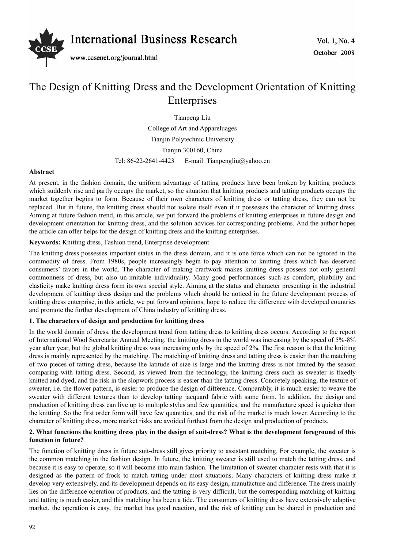

# The Design of Knitting Dress and the Development Orientation of Knitting Enterprises

Tianpeng Liu College of Art and Appareluages Tianjin Polytechnic University Tianjin 300160, China Tel: 86-22-2641-4423 E-mail: Tianpengliu@yahoo.cn

# **Abstract**

At present, in the fashion domain, the uniform advantage of tatting products have been broken by knitting products which suddenly rise and partly occupy the market, so the situation that knitting products and tatting products occupy the market together begins to form. Because of their own characters of knitting dress or tatting dress, they can not be replaced. But in future, the knitting dress should not isolate itself even if it possesses the character of knitting dress. Aiming at future fashion trend, in this article, we put forward the problems of knitting enterprises in future design and development orientation for knitting dress, and the solution advices for corresponding problems. And the author hopes the article can offer helps for the design of knitting dress and the knitting enterprises.

# **Keywords:** Knitting dress, Fashion trend, Enterprise development

The knitting dress possesses important status in the dress domain, and it is one force which can not be ignored in the commodity of dress. From 1980s, people increasingly begin to pay attention to knitting dress which has deserved consumers' favors in the world. The character of making craftwork makes knitting dress possess not only general commonness of dress, but also un-imitable individuality. Many good performances such as comfort, pliability and elasticity make knitting dress form its own special style. Aiming at the status and character presenting in the industrial development of knitting dress design and the problems which should be noticed in the future development process of knitting dress enterprise, in this article, we put forward opinions, hope to reduce the difference with developed countries and promote the further development of China industry of knitting dress.

### **1. The characters of design and production for knitting dress**

In the world domain of dress, the development trend from tatting dress to knitting dress occurs. According to the report of International Wool Secretariat Annual Meeting, the knitting dress in the world was increasing by the speed of 5%-8% year after year, but the global knitting dress was increasing only by the speed of 2%. The first reason is that the knitting dress is mainly represented by the matching. The matching of knitting dress and tatting dress is easier than the matching of two pieces of tatting dress, because the latitude of size is large and the knitting dress is not limited by the season comparing with tatting dress. Second, as viewed from the technology, the knitting dress such as sweater is fixedly knitted and dyed, and the risk in the slopwork process is easier than the tatting dress. Concretely speaking, the texture of sweater, i.e. the flower pattern, is easier to produce the design of difference. Comparably, it is much easier to weave the sweater with different textures than to develop tatting jacquard fabric with same form. In addition, the design and production of knitting dress can live up to multiple styles and few quantities, and the manufacture speed is quicker than the knitting. So the first order form will have few quantities, and the risk of the market is much lower. According to the character of knitting dress, more market risks are avoided furthest from the design and production of products.

# **2. What functions the knitting dress play in the design of suit-dress? What is the development foreground of this function in future?**

The function of knitting dress in future suit-dress still gives priority to assistant matching. For example, the sweater is the common matching in the fashion design. In future, the knitting sweater is still used to match the tatting dress, and because it is easy to operate, so it will become into main fashion. The limitation of sweater character rests with that it is designed as the pattern of frock to match tatting under most situations. Many characters of knitting dress make it develop very extensively, and its development depends on its easy design, manufacture and difference. The dress mainly lies on the difference operation of products, and the tatting is very difficult, but the corresponding matching of knitting and tatting is much easier, and this matching has been a tide. The consumers of knitting dress have extensively adaptive market, the operation is easy, the market has good reaction, and the risk of knitting can be shared in production and